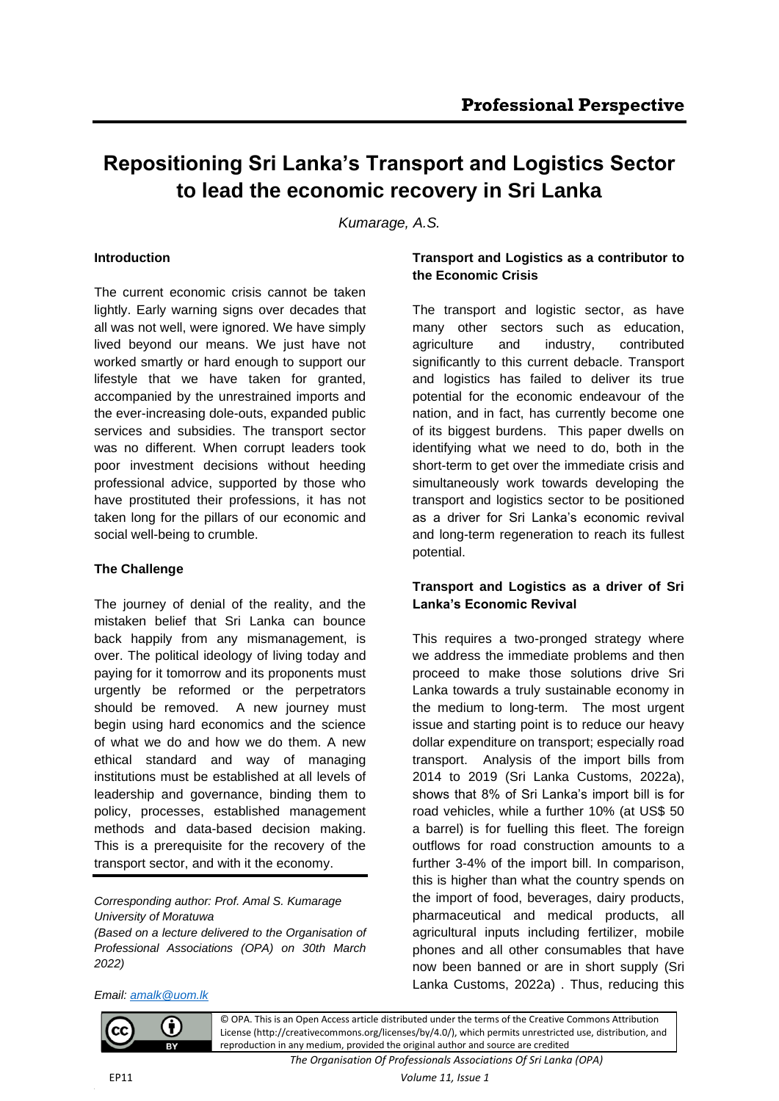# **Repositioning Sri Lanka's Transport and Logistics Sector to lead the economic recovery in Sri Lanka**

*Kumarage, A.S.*

## **Introduction**

The current economic crisis cannot be taken lightly. Early warning signs over decades that all was not well, were ignored. We have simply lived beyond our means. We just have not worked smartly or hard enough to support our lifestyle that we have taken for granted, accompanied by the unrestrained imports and the ever-increasing dole-outs, expanded public services and subsidies. The transport sector was no different. When corrupt leaders took poor investment decisions without heeding professional advice, supported by those who have prostituted their professions, it has not taken long for the pillars of our economic and social well-being to crumble.

#### **The Challenge**

The journey of denial of the reality, and the mistaken belief that Sri Lanka can bounce back happily from any mismanagement, is over. The political ideology of living today and paying for it tomorrow and its proponents must urgently be reformed or the perpetrators should be removed. A new journey must begin using hard economics and the science of what we do and how we do them. A new ethical standard and way of managing institutions must be established at all levels of leadership and governance, binding them to policy, processes, established management methods and data-based decision making. This is a prerequisite for the recovery of the transport sector, and with it the economy.

*Corresponding author: Prof. Amal S. Kumarage University of Moratuwa*

*(Based on a lecture delivered to the Organisation of Professional Associations (OPA) on 30th March 2022)*

## **Transport and Logistics as a contributor to the Economic Crisis**

The transport and logistic sector, as have many other sectors such as education, agriculture and industry, contributed significantly to this current debacle. Transport and logistics has failed to deliver its true potential for the economic endeavour of the nation, and in fact, has currently become one of its biggest burdens. This paper dwells on identifying what we need to do, both in the short-term to get over the immediate crisis and simultaneously work towards developing the transport and logistics sector to be positioned as a driver for Sri Lanka's economic revival and long-term regeneration to reach its fullest potential.

# **Transport and Logistics as a driver of Sri Lanka's Economic Revival**

This requires a two-pronged strategy where we address the immediate problems and then proceed to make those solutions drive Sri Lanka towards a truly sustainable economy in the medium to long-term. The most urgent issue and starting point is to reduce our heavy dollar expenditure on transport; especially road transport. Analysis of the import bills from 2014 to 2019 (Sri Lanka Customs, 2022a), shows that 8% of Sri Lanka's import bill is for road vehicles, while a further 10% (at US\$ 50 a barrel) is for fuelling this fleet. The foreign outflows for road construction amounts to a further 3-4% of the import bill. In comparison, this is higher than what the country spends on the import of food, beverages, dairy products, pharmaceutical and medical products, all agricultural inputs including fertilizer, mobile phones and all other consumables that have now been banned or are in short supply (Sri Lanka Customs, 2022a) . Thus, reducing this

## *Email: [amalk@uom.lk](mailto:amalk@uom.lk)*

(†)



*The Organisation Of Professionals Associations Of Sri Lanka (OPA)*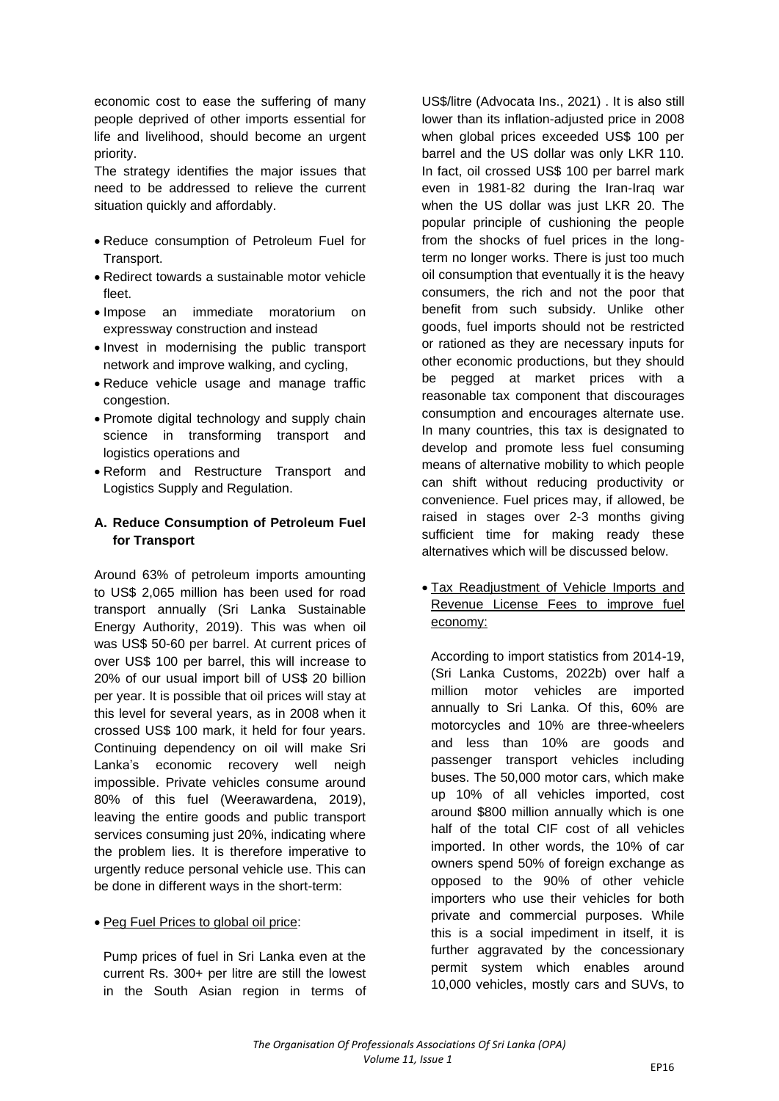economic cost to ease the suffering of many people deprived of other imports essential for life and livelihood, should become an urgent priority.

The strategy identifies the major issues that need to be addressed to relieve the current situation quickly and affordably.

- Reduce consumption of Petroleum Fuel for Transport.
- Redirect towards a sustainable motor vehicle fleet.
- Impose an immediate moratorium on expressway construction and instead
- Invest in modernising the public transport network and improve walking, and cycling,
- Reduce vehicle usage and manage traffic congestion.
- Promote digital technology and supply chain science in transforming transport and logistics operations and
- Reform and Restructure Transport and Logistics Supply and Regulation.

# **A. Reduce Consumption of Petroleum Fuel for Transport**

Around 63% of petroleum imports amounting to US\$ 2,065 million has been used for road transport annually (Sri Lanka Sustainable Energy Authority, 2019). This was when oil was US\$ 50-60 per barrel. At current prices of over US\$ 100 per barrel, this will increase to 20% of our usual import bill of US\$ 20 billion per year. It is possible that oil prices will stay at this level for several years, as in 2008 when it crossed US\$ 100 mark, it held for four years. Continuing dependency on oil will make Sri Lanka's economic recovery well neigh impossible. Private vehicles consume around 80% of this fuel (Weerawardena, 2019), leaving the entire goods and public transport services consuming just 20%, indicating where the problem lies. It is therefore imperative to urgently reduce personal vehicle use. This can be done in different ways in the short-term:

#### • Peg Fuel Prices to global oil price:

Pump prices of fuel in Sri Lanka even at the current Rs. 300+ per litre are still the lowest in the South Asian region in terms of

US\$/litre (Advocata Ins., 2021) . It is also still lower than its inflation-adjusted price in 2008 when global prices exceeded US\$ 100 per barrel and the US dollar was only LKR 110. In fact, oil crossed US\$ 100 per barrel mark even in 1981-82 during the Iran-Iraq war when the US dollar was just LKR 20. The popular principle of cushioning the people from the shocks of fuel prices in the longterm no longer works. There is just too much oil consumption that eventually it is the heavy consumers, the rich and not the poor that benefit from such subsidy. Unlike other goods, fuel imports should not be restricted or rationed as they are necessary inputs for other economic productions, but they should be pegged at market prices with a reasonable tax component that discourages consumption and encourages alternate use. In many countries, this tax is designated to develop and promote less fuel consuming means of alternative mobility to which people can shift without reducing productivity or convenience. Fuel prices may, if allowed, be raised in stages over 2-3 months giving sufficient time for making ready these alternatives which will be discussed below.

• Tax Readjustment of Vehicle Imports and Revenue License Fees to improve fuel economy:

According to import statistics from 2014-19, (Sri Lanka Customs, 2022b) over half a million motor vehicles are imported annually to Sri Lanka. Of this, 60% are motorcycles and 10% are three-wheelers and less than 10% are goods and passenger transport vehicles including buses. The 50,000 motor cars, which make up 10% of all vehicles imported, cost around \$800 million annually which is one half of the total CIF cost of all vehicles imported. In other words, the 10% of car owners spend 50% of foreign exchange as opposed to the 90% of other vehicle importers who use their vehicles for both private and commercial purposes. While this is a social impediment in itself, it is further aggravated by the concessionary permit system which enables around 10,000 vehicles, mostly cars and SUVs, to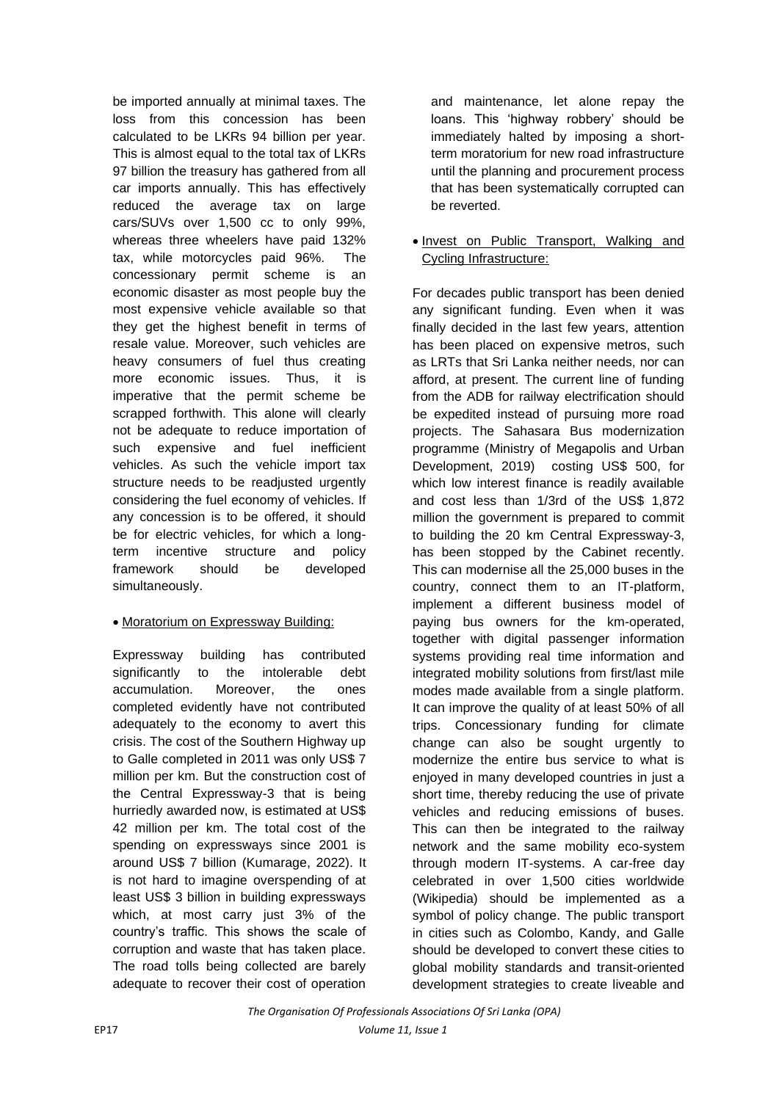be imported annually at minimal taxes. The loss from this concession has been calculated to be LKRs 94 billion per year. This is almost equal to the total tax of LKRs 97 billion the treasury has gathered from all car imports annually. This has effectively reduced the average tax on large cars/SUVs over 1,500 cc to only 99%, whereas three wheelers have paid 132% tax, while motorcycles paid 96%. The concessionary permit scheme is an economic disaster as most people buy the most expensive vehicle available so that they get the highest benefit in terms of resale value. Moreover, such vehicles are heavy consumers of fuel thus creating more economic issues. Thus, it is imperative that the permit scheme be scrapped forthwith. This alone will clearly not be adequate to reduce importation of such expensive and fuel inefficient vehicles. As such the vehicle import tax structure needs to be readjusted urgently considering the fuel economy of vehicles. If any concession is to be offered, it should be for electric vehicles, for which a longterm incentive structure and policy framework should be developed simultaneously.

# • Moratorium on Expressway Building:

Expressway building has contributed significantly to the intolerable debt accumulation. Moreover, the ones completed evidently have not contributed adequately to the economy to avert this crisis. The cost of the Southern Highway up to Galle completed in 2011 was only US\$ 7 million per km. But the construction cost of the Central Expressway-3 that is being hurriedly awarded now, is estimated at US\$ 42 million per km. The total cost of the spending on expressways since 2001 is around US\$ 7 billion (Kumarage, 2022). It is not hard to imagine overspending of at least US\$ 3 billion in building expressways which, at most carry just 3% of the country's traffic. This shows the scale of corruption and waste that has taken place. The road tolls being collected are barely adequate to recover their cost of operation

and maintenance, let alone repay the loans. This 'highway robbery' should be immediately halted by imposing a shortterm moratorium for new road infrastructure until the planning and procurement process that has been systematically corrupted can be reverted.

## • Invest on Public Transport, Walking and Cycling Infrastructure:

For decades public transport has been denied any significant funding. Even when it was finally decided in the last few years, attention has been placed on expensive metros, such as LRTs that Sri Lanka neither needs, nor can afford, at present. The current line of funding from the ADB for railway electrification should be expedited instead of pursuing more road projects. The Sahasara Bus modernization programme (Ministry of Megapolis and Urban Development, 2019) costing US\$ 500, for which low interest finance is readily available and cost less than 1/3rd of the US\$ 1,872 million the government is prepared to commit to building the 20 km Central Expressway-3, has been stopped by the Cabinet recently. This can modernise all the 25,000 buses in the country, connect them to an IT-platform, implement a different business model of paying bus owners for the km-operated, together with digital passenger information systems providing real time information and integrated mobility solutions from first/last mile modes made available from a single platform. It can improve the quality of at least 50% of all trips. Concessionary funding for climate change can also be sought urgently to modernize the entire bus service to what is enjoyed in many developed countries in just a short time, thereby reducing the use of private vehicles and reducing emissions of buses. This can then be integrated to the railway network and the same mobility eco-system through modern IT-systems. A car-free day celebrated in over 1,500 cities worldwide (Wikipedia) should be implemented as a symbol of policy change. The public transport in cities such as Colombo, Kandy, and Galle should be developed to convert these cities to global mobility standards and transit-oriented development strategies to create liveable and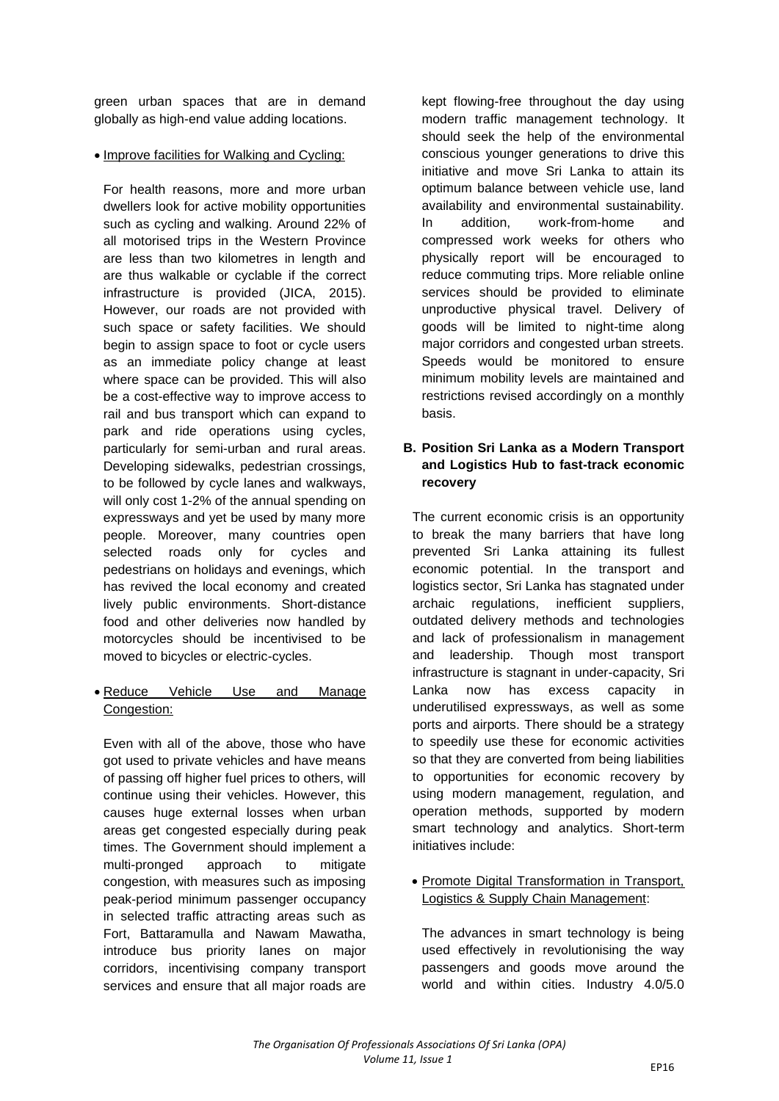green urban spaces that are in demand globally as high-end value adding locations.

• Improve facilities for Walking and Cycling:

For health reasons, more and more urban dwellers look for active mobility opportunities such as cycling and walking. Around 22% of all motorised trips in the Western Province are less than two kilometres in length and are thus walkable or cyclable if the correct infrastructure is provided (JICA, 2015). However, our roads are not provided with such space or safety facilities. We should begin to assign space to foot or cycle users as an immediate policy change at least where space can be provided. This will also be a cost-effective way to improve access to rail and bus transport which can expand to park and ride operations using cycles, particularly for semi-urban and rural areas. Developing sidewalks, pedestrian crossings, to be followed by cycle lanes and walkways, will only cost 1-2% of the annual spending on expressways and yet be used by many more people. Moreover, many countries open selected roads only for cycles and pedestrians on holidays and evenings, which has revived the local economy and created lively public environments. Short-distance food and other deliveries now handled by motorcycles should be incentivised to be moved to bicycles or electric-cycles.

• Reduce Vehicle Use and Manage Congestion:

Even with all of the above, those who have got used to private vehicles and have means of passing off higher fuel prices to others, will continue using their vehicles. However, this causes huge external losses when urban areas get congested especially during peak times. The Government should implement a multi-pronged approach to mitigate congestion, with measures such as imposing peak-period minimum passenger occupancy in selected traffic attracting areas such as Fort, Battaramulla and Nawam Mawatha, introduce bus priority lanes on major corridors, incentivising company transport services and ensure that all major roads are

kept flowing-free throughout the day using modern traffic management technology. It should seek the help of the environmental conscious younger generations to drive this initiative and move Sri Lanka to attain its optimum balance between vehicle use, land availability and environmental sustainability. In addition, work-from-home and compressed work weeks for others who physically report will be encouraged to reduce commuting trips. More reliable online services should be provided to eliminate unproductive physical travel. Delivery of goods will be limited to night-time along major corridors and congested urban streets. Speeds would be monitored to ensure minimum mobility levels are maintained and restrictions revised accordingly on a monthly basis.

# **B. Position Sri Lanka as a Modern Transport and Logistics Hub to fast-track economic recovery**

The current economic crisis is an opportunity to break the many barriers that have long prevented Sri Lanka attaining its fullest economic potential. In the transport and logistics sector, Sri Lanka has stagnated under archaic regulations, inefficient suppliers, outdated delivery methods and technologies and lack of professionalism in management and leadership. Though most transport infrastructure is stagnant in under-capacity, Sri Lanka now has excess capacity in underutilised expressways, as well as some ports and airports. There should be a strategy to speedily use these for economic activities so that they are converted from being liabilities to opportunities for economic recovery by using modern management, regulation, and operation methods, supported by modern smart technology and analytics. Short-term initiatives include:

• Promote Digital Transformation in Transport, Logistics & Supply Chain Management:

The advances in smart technology is being used effectively in revolutionising the way passengers and goods move around the world and within cities. Industry 4.0/5.0